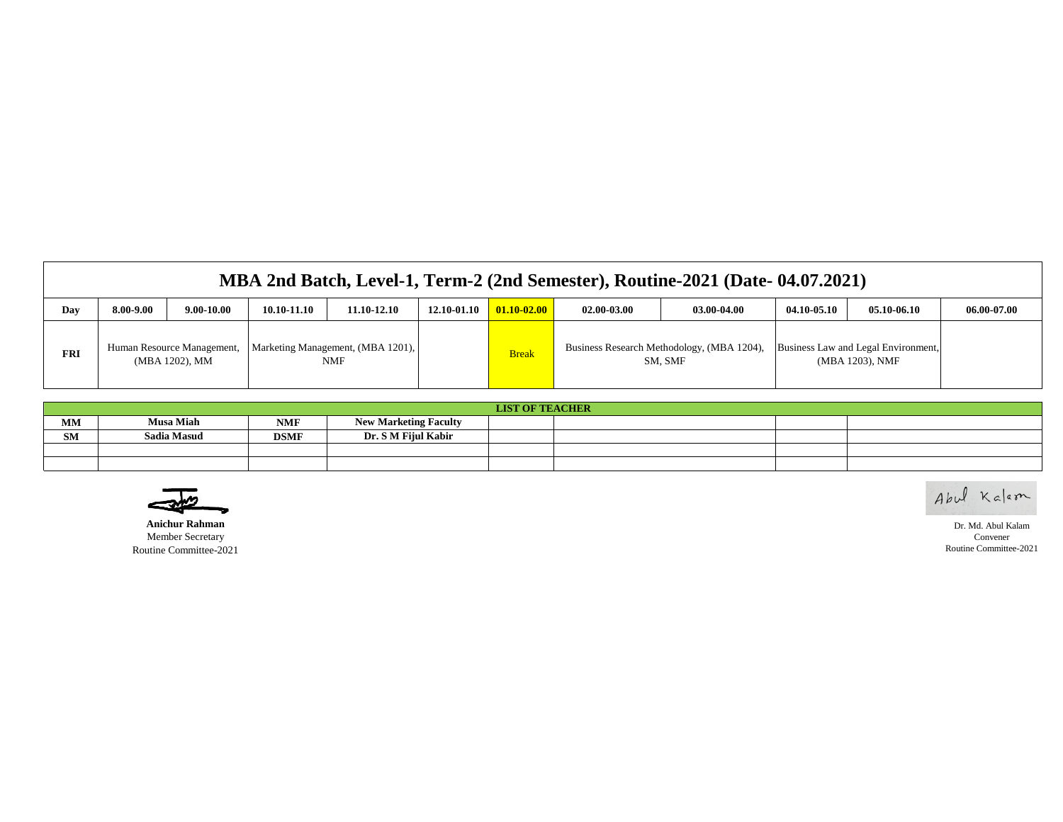|  | MBA 2nd Batch, Level-1, Term-2 (2nd Semester), Routine-2021 (Date-04.07.2021) |
|--|-------------------------------------------------------------------------------|
|--|-------------------------------------------------------------------------------|

| Day        | 8.00-9.00 | $9.00 - 10.00$ | 10.10-11.10 | 11.10-12.10                                                             | 12.10-01.10 | $01.10 - 02.00$ | 02.00-03.00 | 03.00-04.00                                           | 04.10-05.10 | 05.10-06.10                                            | 06.00-07.00 |
|------------|-----------|----------------|-------------|-------------------------------------------------------------------------|-------------|-----------------|-------------|-------------------------------------------------------|-------------|--------------------------------------------------------|-------------|
| <b>FRI</b> |           | (MBA 1202), MM |             | Human Resource Management,   Marketing Management, (MBA 1201),  <br>NMF |             | <b>Break</b>    |             | Business Research Methodology, (MBA 1204),<br>SM, SMF |             | Business Law and Legal Environment,<br>(MBA 1203), NMF |             |

|           | <b>LIST OF TEACHER</b> |             |                              |  |  |  |  |  |  |  |  |
|-----------|------------------------|-------------|------------------------------|--|--|--|--|--|--|--|--|
| MM        | <b>Musa Miah</b>       | NMF         | <b>New Marketing Faculty</b> |  |  |  |  |  |  |  |  |
| <b>SM</b> | <b>Sadia Masud</b>     | <b>DSMF</b> | Dr. S M Fijul Kabir          |  |  |  |  |  |  |  |  |
|           |                        |             |                              |  |  |  |  |  |  |  |  |
|           |                        |             |                              |  |  |  |  |  |  |  |  |

Abul Kalam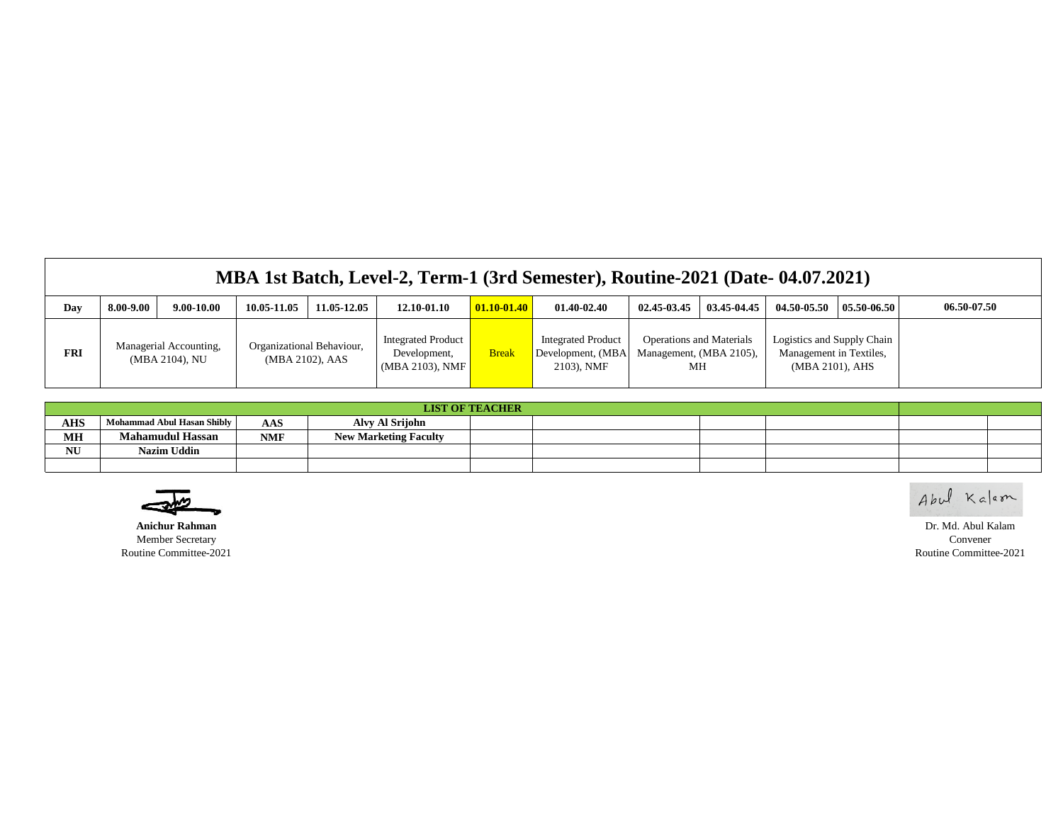|            | MBA 1st Batch, Level-2, Term-1 (3rd Semester), Routine-2021 (Date-04.07.2021) |                |                                              |  |                                                                 |                 |                                                              |                                                                  |             |                                                                          |                 |             |
|------------|-------------------------------------------------------------------------------|----------------|----------------------------------------------|--|-----------------------------------------------------------------|-----------------|--------------------------------------------------------------|------------------------------------------------------------------|-------------|--------------------------------------------------------------------------|-----------------|-------------|
| Day        | 8.00-9.00                                                                     | $9.00 - 10.00$ | 11.05-12.05<br>10.05-11.05                   |  | 12.10-01.10                                                     | $01.10 - 01.40$ | 01.40-02.40                                                  | $02.45 - 03.45$                                                  | 03.45-04.45 | 04.50-05.50                                                              | $05.50 - 06.50$ | 06.50-07.50 |
| <b>FRI</b> | Managerial Accounting,<br>(MBA 2104), NU                                      |                | Organizational Behaviour,<br>(MBA 2102), AAS |  | <b>Integrated Product</b><br>Development,<br>$(MBA 2103)$ , NMF | <b>Break</b>    | <b>Integrated Product</b><br>Development, (MBA<br>2103), NMF | <b>Operations and Materials</b><br>Management, (MBA 2105),<br>MН |             | Logistics and Supply Chain<br>Management in Textiles,<br>(MBA 2101), AHS |                 |             |

| <b>LIST OF TEACHER</b> |                            |            |                              |  |  |  |  |  |  |  |
|------------------------|----------------------------|------------|------------------------------|--|--|--|--|--|--|--|
| <b>AHS</b>             | Mohammad Abul Hasan Shibly | AAS        | Alvy Al Srijohn              |  |  |  |  |  |  |  |
| MH                     | <b>Mahamudul Hassan</b>    | <b>NMF</b> | <b>New Marketing Faculty</b> |  |  |  |  |  |  |  |
| NU                     | Nazim Uddin                |            |                              |  |  |  |  |  |  |  |
|                        |                            |            |                              |  |  |  |  |  |  |  |

Abul Kalam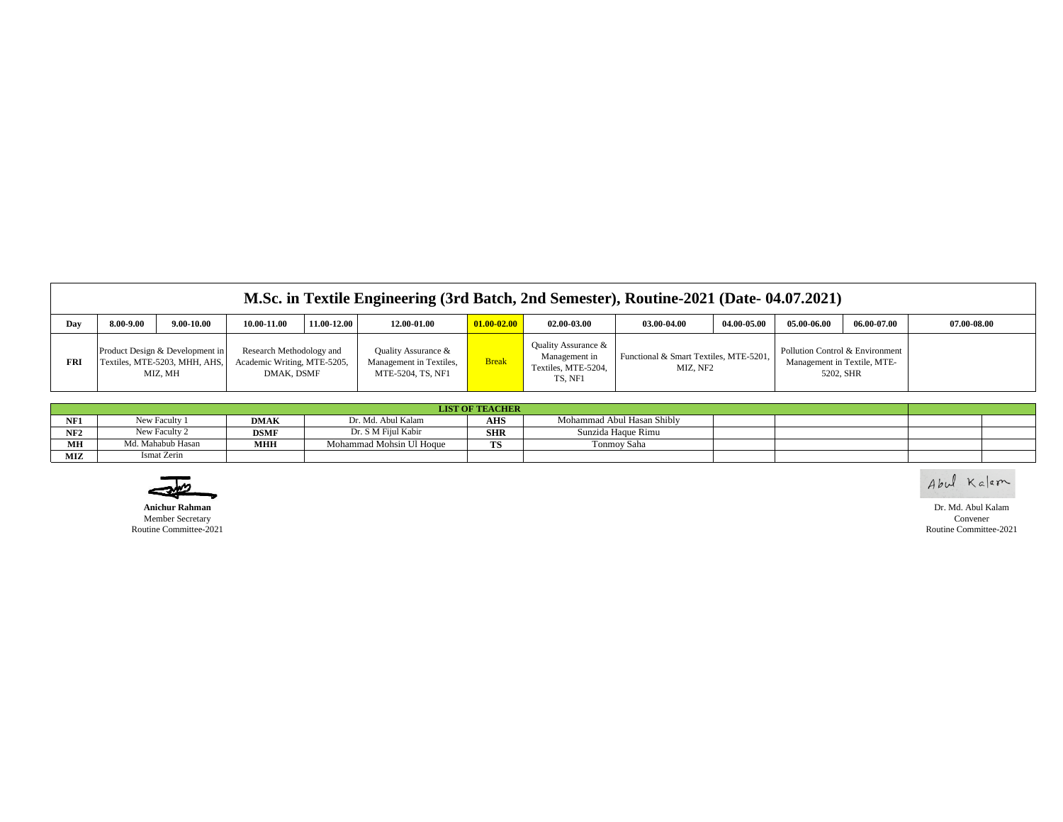|            | M.Sc. in Textile Engineering (3rd Batch, 2nd Semester), Routine-2021 (Date-04.07.2021) |                                                                             |                                                                       |             |                                                                     |                 |                                                                        |                                                    |             |                                                                |             |             |  |
|------------|----------------------------------------------------------------------------------------|-----------------------------------------------------------------------------|-----------------------------------------------------------------------|-------------|---------------------------------------------------------------------|-----------------|------------------------------------------------------------------------|----------------------------------------------------|-------------|----------------------------------------------------------------|-------------|-------------|--|
| Day        | 3.00-9.00                                                                              | $9.00 - 10.00$                                                              | 10.00-11.00                                                           | 11.00-12.00 | 12.00-01.00                                                         | $01.00 - 02.00$ | 02.00-03.00                                                            | 03.00-04.00                                        | 04.00-05.00 | 05.00-06.00                                                    | 06.00-07.00 | 07.00-08.00 |  |
| <b>FRI</b> |                                                                                        | Product Design & Development in<br>Textiles, MTE-5203, MHH, AHS,<br>MIZ. MH | Research Methodology and<br>Academic Writing, MTE-5205,<br>DMAK. DSMF |             | Quality Assurance &<br>Management in Textiles,<br>MTE-5204, TS, NF1 | <b>Break</b>    | Quality Assurance &<br>Management in<br>Textiles, MTE-5204,<br>TS, NF1 | Functional & Smart Textiles, MTE-5201,<br>MIZ. NF2 |             | Pollution Control & Environment<br>Management in Textile, MTE- | 5202, SHR   |             |  |

|     | <b>LIST OF TEACHER</b> |             |                          |            |                            |  |  |  |  |  |  |  |
|-----|------------------------|-------------|--------------------------|------------|----------------------------|--|--|--|--|--|--|--|
| NF1 | New Faculty 1          | <b>DMAK</b> | Dr. Md. Abul Kalam       | <b>AHS</b> | Mohammad Abul Hasan Shibly |  |  |  |  |  |  |  |
| NF2 | New Faculty 2          | <b>DSMF</b> | Dr. S M Fiiul Kabir      | <b>SHR</b> | Sunzida Haque Rimu         |  |  |  |  |  |  |  |
| МH  | Md. Mahabub Hasan      | <b>MHH</b>  | Mohammad Mohsin Ul Hoque | TS         | Tonmov Saha                |  |  |  |  |  |  |  |
| MIZ | Ismat Zerin            |             |                          |            |                            |  |  |  |  |  |  |  |



Abul Kalem